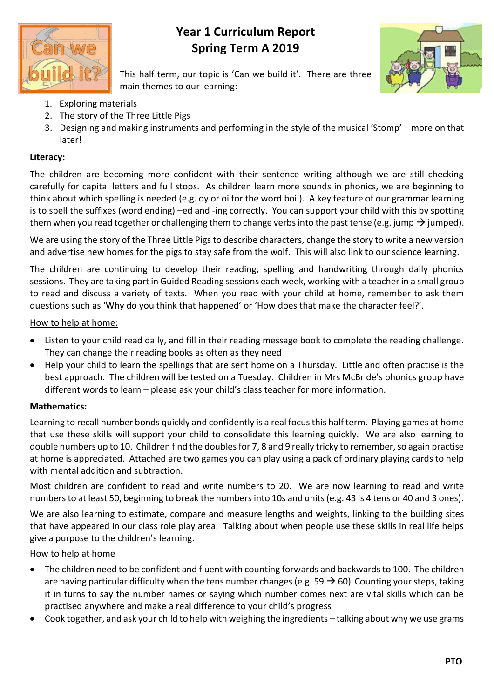

## **Year 1 Curriculum Report Spring Term A 2019**



This half term, our topic is 'Can we build it'. There are three main themes to our learning:

- 1. Exploring materials
- 2. The story of the Three Little Pigs
- 3. Designing and making instruments and performing in the style of the musical 'Stomp' more on that later!

### **Literacy:**

The children are becoming more confident with their sentence writing although we are still checking carefully for capital letters and full stops. As children learn more sounds in phonics, we are beginning to think about which spelling is needed (e.g. oy or oi for the word boil). A key feature of our grammar learning is to spell the suffixes (word ending) –ed and -ing correctly. You can support your child with this by spotting them when you read together or challenging them to change verbs into the past tense (e.g. jump  $\rightarrow$  jumped).

We are using the story of the Three Little Pigs to describe characters, change the story to write a new version and advertise new homes for the pigs to stay safe from the wolf. This will also link to our science learning.

The children are continuing to develop their reading, spelling and handwriting through daily phonics sessions. They are taking part in Guided Reading sessions each week, working with a teacher in a small group to read and discuss a variety of texts. When you read with your child at home, remember to ask them questions such as 'Why do you think that happened' or 'How does that make the character feel?'.

#### How to help at home:

- Listen to your child read daily, and fill in their reading message book to complete the reading challenge. They can change their reading books as often as they need
- Help your child to learn the spellings that are sent home on a Thursday. Little and often practise is the best approach. The children will be tested on a Tuesday. Children in Mrs McBride's phonics group have different words to learn – please ask your child's class teacher for more information.

### **Mathematics:**

Learning to recall number bonds quickly and confidently is a real focus this half term. Playing games at home that use these skills will support your child to consolidate this learning quickly. We are also learning to double numbers up to 10. Children find the doubles for 7, 8 and 9 really tricky to remember, so again practise at home is appreciated. Attached are two games you can play using a pack of ordinary playing cards to help with mental addition and subtraction.

Most children are confident to read and write numbers to 20. We are now learning to read and write numbers to at least 50, beginning to break the numbers into 10s and units (e.g. 43 is 4 tens or 40 and 3 ones).

We are also learning to estimate, compare and measure lengths and weights, linking to the building sites that have appeared in our class role play area. Talking about when people use these skills in real life helps give a purpose to the children's learning.

#### How to help at home

- The children need to be confident and fluent with counting forwards and backwards to 100. The children are having particular difficulty when the tens number changes (e.g. 59  $\rightarrow$  60) Counting your steps, taking it in turns to say the number names or saying which number comes next are vital skills which can be practised anywhere and make a real difference to your child's progress
- Cook together, and ask your child to help with weighing the ingredients talking about why we use grams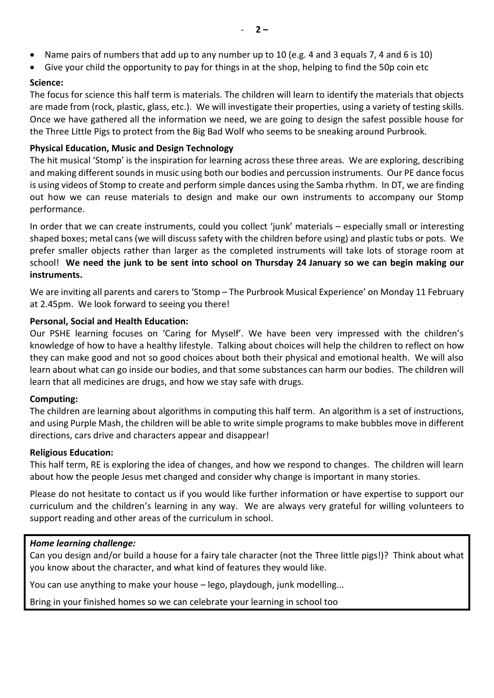- Name pairs of numbers that add up to any number up to 10 (e.g. 4 and 3 equals 7, 4 and 6 is 10)
- Give your child the opportunity to pay for things in at the shop, helping to find the 50p coin etc

#### **Science:**

The focus for science this half term is materials. The children will learn to identify the materials that objects are made from (rock, plastic, glass, etc.). We will investigate their properties, using a variety of testing skills. Once we have gathered all the information we need, we are going to design the safest possible house for the Three Little Pigs to protect from the Big Bad Wolf who seems to be sneaking around Purbrook.

#### **Physical Education, Music and Design Technology**

The hit musical 'Stomp' is the inspiration for learning across these three areas. We are exploring, describing and making different sounds in music using both our bodies and percussion instruments. Our PE dance focus is using videos of Stomp to create and perform simple dances using the Samba rhythm. In DT, we are finding out how we can reuse materials to design and make our own instruments to accompany our Stomp performance.

In order that we can create instruments, could you collect 'junk' materials – especially small or interesting shaped boxes; metal cans (we will discuss safety with the children before using) and plastic tubs or pots. We prefer smaller objects rather than larger as the completed instruments will take lots of storage room at school! **We need the junk to be sent into school on Thursday 24 January so we can begin making our instruments.**

We are inviting all parents and carers to 'Stomp – The Purbrook Musical Experience' on Monday 11 February at 2.45pm. We look forward to seeing you there!

#### **Personal, Social and Health Education:**

Our PSHE learning focuses on 'Caring for Myself'. We have been very impressed with the children's knowledge of how to have a healthy lifestyle. Talking about choices will help the children to reflect on how they can make good and not so good choices about both their physical and emotional health. We will also learn about what can go inside our bodies, and that some substances can harm our bodies. The children will learn that all medicines are drugs, and how we stay safe with drugs.

#### **Computing:**

The children are learning about algorithms in computing this half term. An algorithm is a set of instructions, and using Purple Mash, the children will be able to write simple programs to make bubbles move in different directions, cars drive and characters appear and disappear!

#### **Religious Education:**

This half term, RE is exploring the idea of changes, and how we respond to changes. The children will learn about how the people Jesus met changed and consider why change is important in many stories.

Please do not hesitate to contact us if you would like further information or have expertise to support our curriculum and the children's learning in any way. We are always very grateful for willing volunteers to support reading and other areas of the curriculum in school.

#### *Home learning challenge:*

Can you design and/or build a house for a fairy tale character (not the Three little pigs!)? Think about what you know about the character, and what kind of features they would like.

You can use anything to make your house – lego, playdough, junk modelling...

Bring in your finished homes so we can celebrate your learning in school too